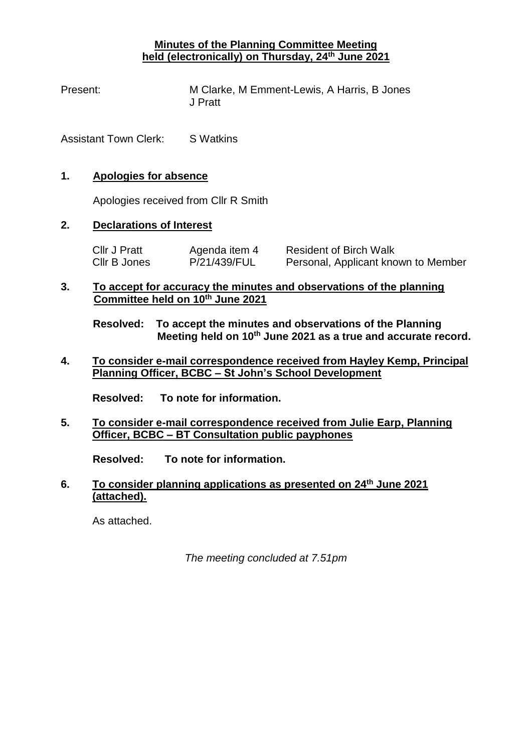### **Minutes of the Planning Committee Meeting held (electronically) on Thursday, 24th June 2021**

Present: M Clarke, M Emment-Lewis, A Harris, B Jones J Pratt

Assistant Town Clerk: S Watkins

### **1. Apologies for absence**

Apologies received from Cllr R Smith

#### **2. Declarations of Interest**

| Cllr J Pratt | Agenda item 4 | <b>Resident of Birch Walk</b>       |
|--------------|---------------|-------------------------------------|
| Cllr B Jones | P/21/439/FUL  | Personal, Applicant known to Member |

### **3. To accept for accuracy the minutes and observations of the planning Committee held on 10th June 2021**

**Resolved: To accept the minutes and observations of the Planning Meeting held on 10th June 2021 as a true and accurate record.**

# **4. To consider e-mail correspondence received from Hayley Kemp, Principal Planning Officer, BCBC – St John's School Development**

**Resolved: To note for information.**

**5. To consider e-mail correspondence received from Julie Earp, Planning Officer, BCBC – BT Consultation public payphones**

**Resolved: To note for information.**

**6. To consider planning applications as presented on 24th June 2021 (attached).**

As attached.

*The meeting concluded at 7.51pm*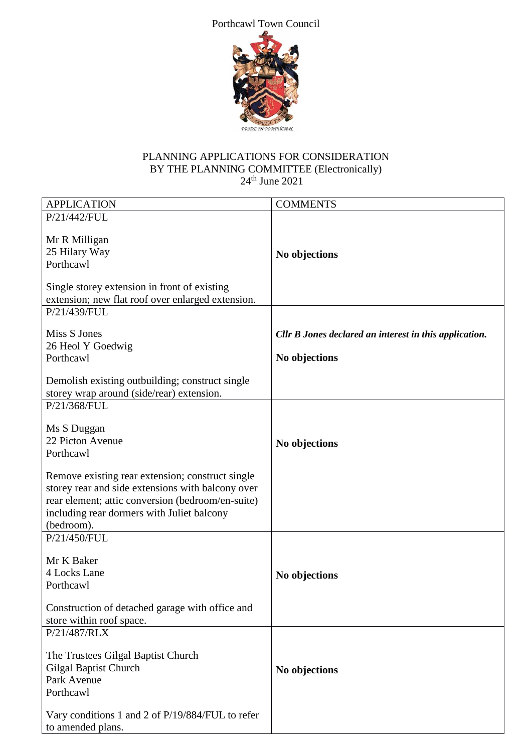Porthcawl Town Council



# PLANNING APPLICATIONS FOR CONSIDERATION BY THE PLANNING COMMITTEE (Electronically)  $24<sup>th</sup>$  June 2021

| <b>APPLICATION</b>                                | <b>COMMENTS</b>                                        |
|---------------------------------------------------|--------------------------------------------------------|
| P/21/442/FUL                                      |                                                        |
|                                                   |                                                        |
| Mr R Milligan                                     |                                                        |
| 25 Hilary Way                                     | No objections                                          |
| Porthcawl                                         |                                                        |
|                                                   |                                                        |
| Single storey extension in front of existing      |                                                        |
| extension; new flat roof over enlarged extension. |                                                        |
| P/21/439/FUL                                      |                                                        |
|                                                   |                                                        |
| Miss S Jones                                      | Cllr B Jones declared an interest in this application. |
| 26 Heol Y Goedwig                                 |                                                        |
| Porthcawl                                         | No objections                                          |
| Demolish existing outbuilding; construct single   |                                                        |
| storey wrap around (side/rear) extension.         |                                                        |
| P/21/368/FUL                                      |                                                        |
|                                                   |                                                        |
| Ms S Duggan                                       |                                                        |
| 22 Picton Avenue                                  | No objections                                          |
| Porthcawl                                         |                                                        |
|                                                   |                                                        |
| Remove existing rear extension; construct single  |                                                        |
| storey rear and side extensions with balcony over |                                                        |
| rear element; attic conversion (bedroom/en-suite) |                                                        |
| including rear dormers with Juliet balcony        |                                                        |
| (bedroom).                                        |                                                        |
| P/21/450/FUL                                      |                                                        |
|                                                   |                                                        |
| Mr K Baker                                        |                                                        |
| 4 Locks Lane                                      | No objections                                          |
| Porthcawl                                         |                                                        |
|                                                   |                                                        |
| Construction of detached garage with office and   |                                                        |
| store within roof space.                          |                                                        |
| P/21/487/RLX                                      |                                                        |
| The Trustees Gilgal Baptist Church                |                                                        |
| <b>Gilgal Baptist Church</b>                      |                                                        |
| Park Avenue                                       | No objections                                          |
| Porthcawl                                         |                                                        |
|                                                   |                                                        |
| Vary conditions 1 and 2 of P/19/884/FUL to refer  |                                                        |
| to amended plans.                                 |                                                        |
|                                                   |                                                        |